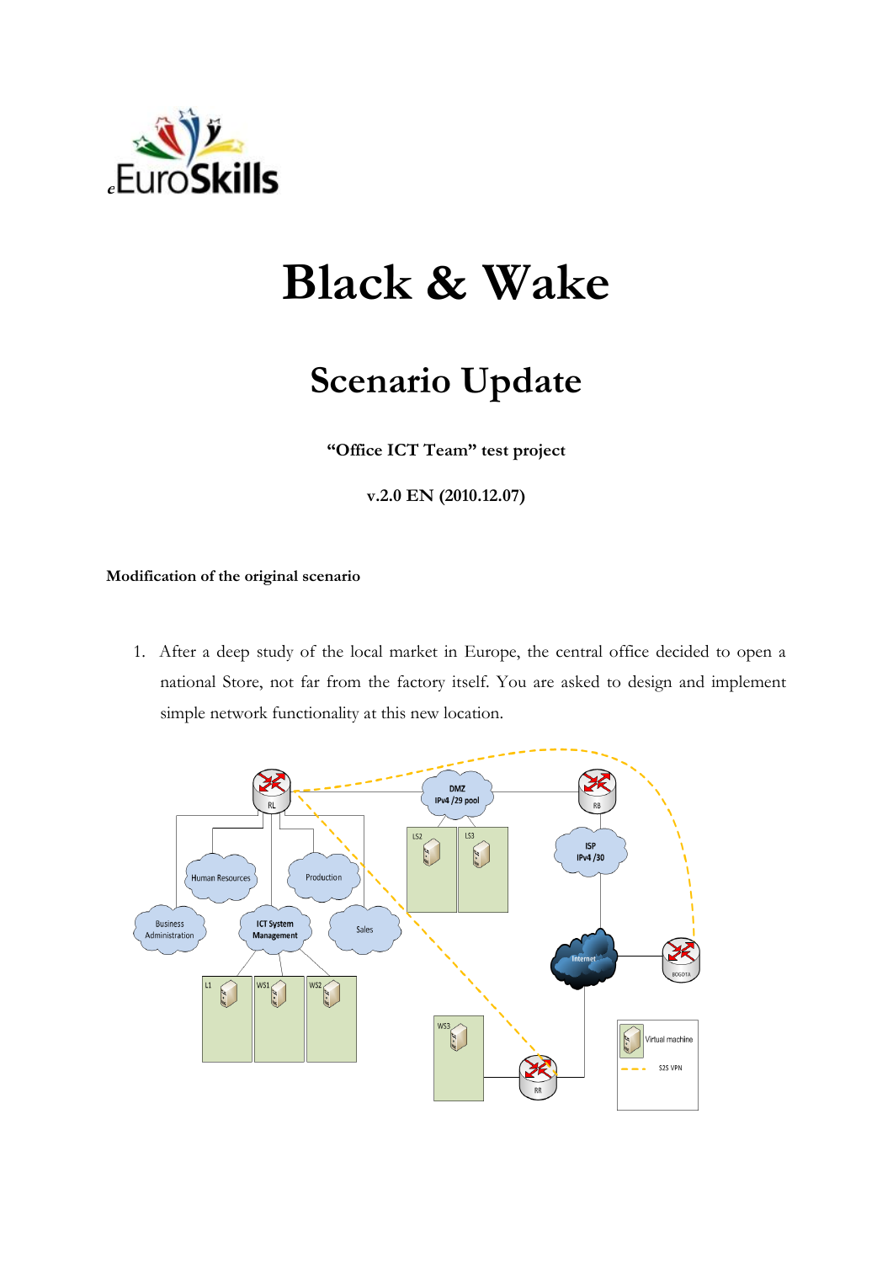

## **Black & Wake**

## **Scenario Update**

**"Office ICT Team" test project**

**v.2.0 EN (2010.12.07)**

**Modification of the original scenario**

1. After a deep study of the local market in Europe, the central office decided to open a national Store, not far from the factory itself. You are asked to design and implement simple network functionality at this new location.

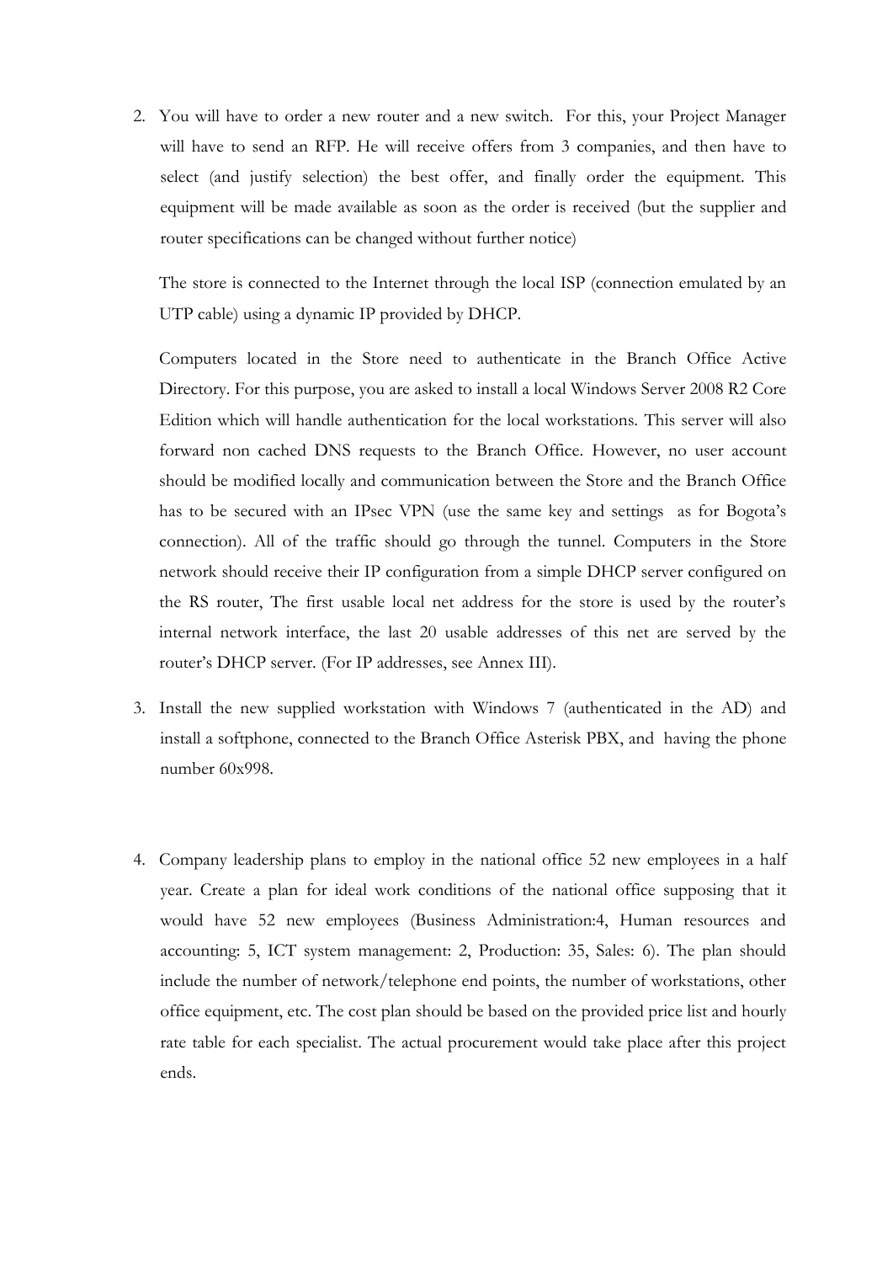2. You will have to order a new router and a new switch. For this, your Project Manager will have to send an RFP. He will receive offers from 3 companies, and then have to select (and justify selection) the best offer, and finally order the equipment. This equipment will be made available as soon as the order is received (but the supplier and router specifications can be changed without further notice)

The store is connected to the Internet through the local ISP (connection emulated by an UTP cable) using a dynamic IP provided by DHCP.

Computers located in the Store need to authenticate in the Branch Office Active Directory. For this purpose, you are asked to install a local Windows Server 2008 R2 Core Edition which will handle authentication for the local workstations. This server will also forward non cached DNS requests to the Branch Office. However, no user account should be modified locally and communication between the Store and the Branch Office has to be secured with an IPsec VPN (use the same key and settings as for Bogota's connection). All of the traffic should go through the tunnel. Computers in the Store network should receive their IP configuration from a simple DHCP server configured on the RS router, The first usable local net address for the store is used by the router's internal network interface, the last 20 usable addresses of this net are served by the router's DHCP server. (For IP addresses, see Annex III).

- 3. Install the new supplied workstation with Windows 7 (authenticated in the AD) and install a softphone, connected to the Branch Office Asterisk PBX, and having the phone number 60x998.
- 4. Company leadership plans to employ in the national office 52 new employees in a half year. Create a plan for ideal work conditions of the national office supposing that it would have 52 new employees (Business Administration:4, Human resources and accounting: 5, ICT system management: 2, Production: 35, Sales: 6). The plan should include the number of network/telephone end points, the number of workstations, other office equipment, etc. The cost plan should be based on the provided price list and hourly rate table for each specialist. The actual procurement would take place after this project ends.